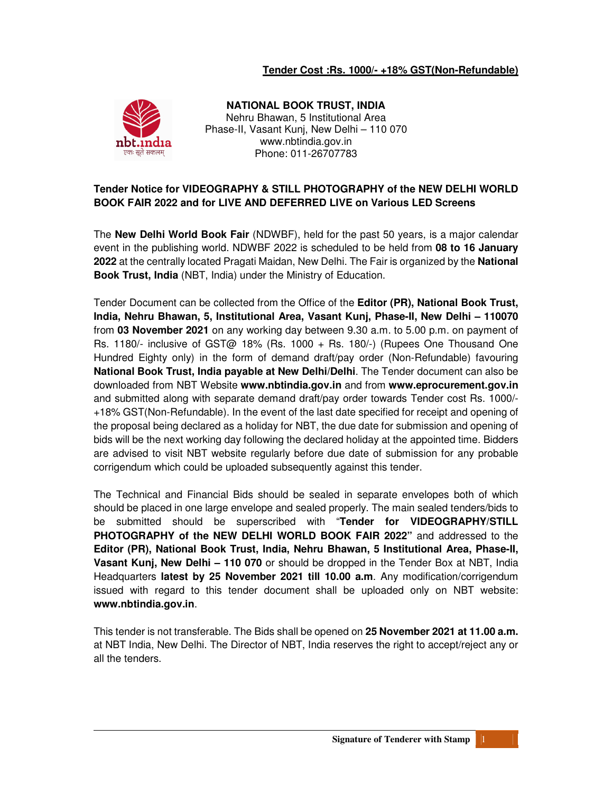### **Tender Cost :Rs. 1000/- +18% GST(Non-Refundable)**



**NATIONAL BOOK TRUST, INDIA**  Nehru Bhawan, 5 Institutional Area Phase-II, Vasant Kunj, New Delhi – 110 070 www.nbtindia.gov.in Phone: 011-26707783

### **Tender Notice for VIDEOGRAPHY & STILL PHOTOGRAPHY of the NEW DELHI WORLD BOOK FAIR 2022 and for LIVE AND DEFERRED LIVE on Various LED Screens**

The **New Delhi World Book Fair** (NDWBF), held for the past 50 years, is a major calendar event in the publishing world. NDWBF 2022 is scheduled to be held from **08 to 16 January 2022** at the centrally located Pragati Maidan, New Delhi. The Fair is organized by the **National Book Trust, India** (NBT, India) under the Ministry of Education.

Tender Document can be collected from the Office of the **Editor (PR), National Book Trust, India, Nehru Bhawan, 5, Institutional Area, Vasant Kunj, Phase-II, New Delhi – 110070** from **03 November 2021** on any working day between 9.30 a.m. to 5.00 p.m. on payment of Rs. 1180/- inclusive of GST@ 18% (Rs. 1000 + Rs. 180/-) (Rupees One Thousand One Hundred Eighty only) in the form of demand draft/pay order (Non-Refundable) favouring **National Book Trust, India payable at New Delhi/Delhi**. The Tender document can also be downloaded from NBT Website **www.nbtindia.gov.in** and from **www.eprocurement.gov.in** and submitted along with separate demand draft/pay order towards Tender cost Rs. 1000/- +18% GST(Non-Refundable). In the event of the last date specified for receipt and opening of the proposal being declared as a holiday for NBT, the due date for submission and opening of bids will be the next working day following the declared holiday at the appointed time. Bidders are advised to visit NBT website regularly before due date of submission for any probable corrigendum which could be uploaded subsequently against this tender.

The Technical and Financial Bids should be sealed in separate envelopes both of which should be placed in one large envelope and sealed properly. The main sealed tenders/bids to be submitted should be superscribed with "**Tender for VIDEOGRAPHY/STILL PHOTOGRAPHY of the NEW DELHI WORLD BOOK FAIR 2022"** and addressed to the **Editor (PR), National Book Trust, India, Nehru Bhawan, 5 Institutional Area, Phase-II, Vasant Kunj, New Delhi – 110 070** or should be dropped in the Tender Box at NBT, India Headquarters **latest by 25 November 2021 till 10.00 a.m**. Any modification/corrigendum issued with regard to this tender document shall be uploaded only on NBT website: **www.nbtindia.gov.in**.

This tender is not transferable. The Bids shall be opened on **25 November 2021 at 11.00 a.m.** at NBT India, New Delhi. The Director of NBT, India reserves the right to accept/reject any or all the tenders.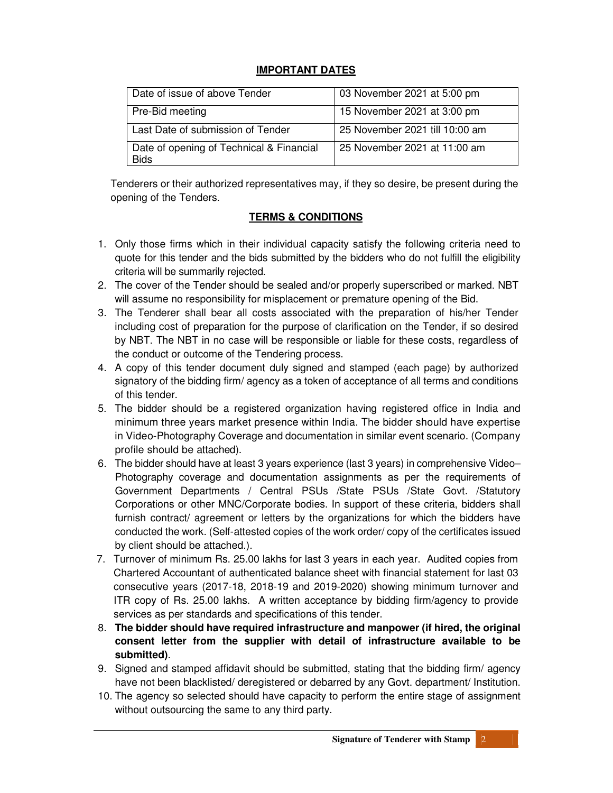### **IMPORTANT DATES**

| Date of issue of above Tender                           | 03 November 2021 at 5:00 pm    |
|---------------------------------------------------------|--------------------------------|
| Pre-Bid meeting                                         | 15 November 2021 at 3:00 pm    |
| Last Date of submission of Tender                       | 25 November 2021 till 10:00 am |
| Date of opening of Technical & Financial<br><b>Bids</b> | 25 November 2021 at 11:00 am   |

Tenderers or their authorized representatives may, if they so desire, be present during the opening of the Tenders.

## **TERMS & CONDITIONS**

- 1. Only those firms which in their individual capacity satisfy the following criteria need to quote for this tender and the bids submitted by the bidders who do not fulfill the eligibility criteria will be summarily rejected.
- 2. The cover of the Tender should be sealed and/or properly superscribed or marked. NBT will assume no responsibility for misplacement or premature opening of the Bid.
- 3. The Tenderer shall bear all costs associated with the preparation of his/her Tender including cost of preparation for the purpose of clarification on the Tender, if so desired by NBT. The NBT in no case will be responsible or liable for these costs, regardless of the conduct or outcome of the Tendering process.
- 4. A copy of this tender document duly signed and stamped (each page) by authorized signatory of the bidding firm/ agency as a token of acceptance of all terms and conditions of this tender.
- 5. The bidder should be a registered organization having registered office in India and minimum three years market presence within India. The bidder should have expertise in Video-Photography Coverage and documentation in similar event scenario. (Company profile should be attached).
- 6. The bidder should have at least 3 years experience (last 3 years) in comprehensive Video– Photography coverage and documentation assignments as per the requirements of Government Departments / Central PSUs /State PSUs /State Govt. /Statutory Corporations or other MNC/Corporate bodies. In support of these criteria, bidders shall furnish contract/ agreement or letters by the organizations for which the bidders have conducted the work. (Self-attested copies of the work order/ copy of the certificates issued by client should be attached.).
- 7. Turnover of minimum Rs. 25.00 lakhs for last 3 years in each year. Audited copies from Chartered Accountant of authenticated balance sheet with financial statement for last 03 consecutive years (2017-18, 2018-19 and 2019-2020) showing minimum turnover and ITR copy of Rs. 25.00 lakhs. A written acceptance by bidding firm/agency to provide services as per standards and specifications of this tender.
- 8. **The bidder should have required infrastructure and manpower (if hired, the original consent letter from the supplier with detail of infrastructure available to be submitted)**.
- 9. Signed and stamped affidavit should be submitted, stating that the bidding firm/ agency have not been blacklisted/ deregistered or debarred by any Govt. department/ Institution.
- 10. The agency so selected should have capacity to perform the entire stage of assignment without outsourcing the same to any third party.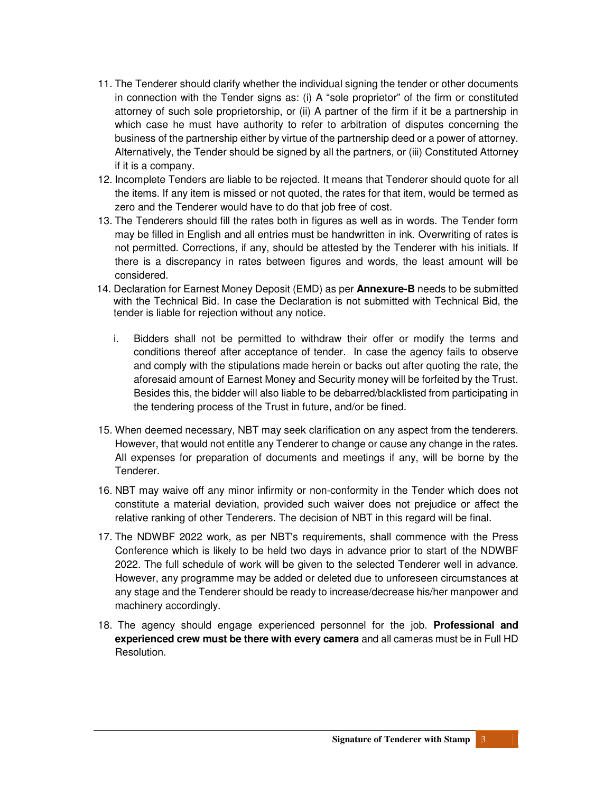- 11. The Tenderer should clarify whether the individual signing the tender or other documents in connection with the Tender signs as: (i) A "sole proprietor" of the firm or constituted attorney of such sole proprietorship, or (ii) A partner of the firm if it be a partnership in which case he must have authority to refer to arbitration of disputes concerning the business of the partnership either by virtue of the partnership deed or a power of attorney. Alternatively, the Tender should be signed by all the partners, or (iii) Constituted Attorney if it is a company.
- 12. Incomplete Tenders are liable to be rejected. It means that Tenderer should quote for all the items. If any item is missed or not quoted, the rates for that item, would be termed as zero and the Tenderer would have to do that job free of cost.
- 13. The Tenderers should fill the rates both in figures as well as in words. The Tender form may be filled in English and all entries must be handwritten in ink. Overwriting of rates is not permitted. Corrections, if any, should be attested by the Tenderer with his initials. If there is a discrepancy in rates between figures and words, the least amount will be considered.
- 14. Declaration for Earnest Money Deposit (EMD) as per **Annexure-B** needs to be submitted with the Technical Bid. In case the Declaration is not submitted with Technical Bid, the tender is liable for rejection without any notice.
	- i. Bidders shall not be permitted to withdraw their offer or modify the terms and conditions thereof after acceptance of tender. In case the agency fails to observe and comply with the stipulations made herein or backs out after quoting the rate, the aforesaid amount of Earnest Money and Security money will be forfeited by the Trust. Besides this, the bidder will also liable to be debarred/blacklisted from participating in the tendering process of the Trust in future, and/or be fined.
- 15. When deemed necessary, NBT may seek clarification on any aspect from the tenderers. However, that would not entitle any Tenderer to change or cause any change in the rates. All expenses for preparation of documents and meetings if any, will be borne by the Tenderer.
- 16. NBT may waive off any minor infirmity or non-conformity in the Tender which does not constitute a material deviation, provided such waiver does not prejudice or affect the relative ranking of other Tenderers. The decision of NBT in this regard will be final.
- 17. The NDWBF 2022 work, as per NBT's requirements, shall commence with the Press Conference which is likely to be held two days in advance prior to start of the NDWBF 2022. The full schedule of work will be given to the selected Tenderer well in advance. However, any programme may be added or deleted due to unforeseen circumstances at any stage and the Tenderer should be ready to increase/decrease his/her manpower and machinery accordingly.
- 18. The agency should engage experienced personnel for the job. **Professional and experienced crew must be there with every camera** and all cameras must be in Full HD Resolution.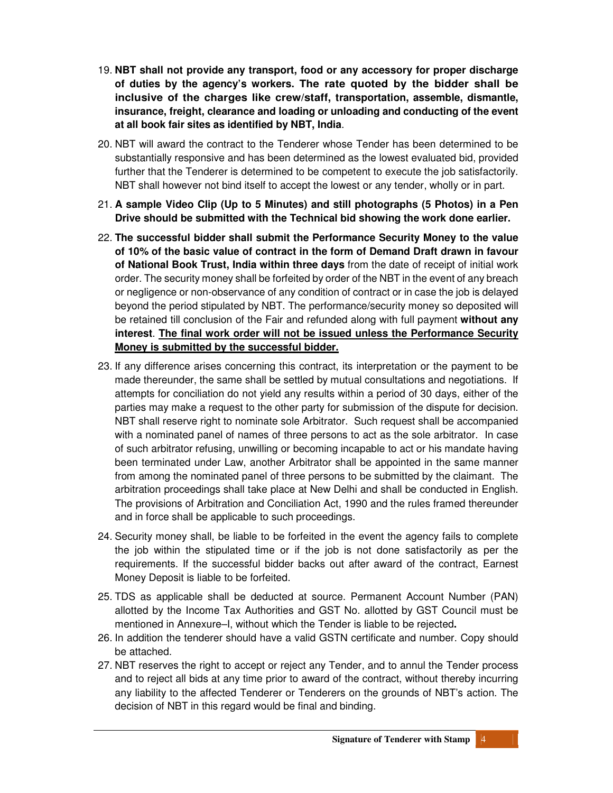- 19. **NBT shall not provide any transport, food or any accessory for proper discharge of duties by the agency's workers. The rate quoted by the bidder shall be inclusive of the charges like crew/staff, transportation, assemble, dismantle, insurance, freight, clearance and loading or unloading and conducting of the event at all book fair sites as identified by NBT, India**.
- 20. NBT will award the contract to the Tenderer whose Tender has been determined to be substantially responsive and has been determined as the lowest evaluated bid, provided further that the Tenderer is determined to be competent to execute the job satisfactorily. NBT shall however not bind itself to accept the lowest or any tender, wholly or in part.
- 21. **A sample Video Clip (Up to 5 Minutes) and still photographs (5 Photos) in a Pen Drive should be submitted with the Technical bid showing the work done earlier.**
- 22. **The successful bidder shall submit the Performance Security Money to the value of 10% of the basic value of contract in the form of Demand Draft drawn in favour of National Book Trust, India within three days** from the date of receipt of initial work order. The security money shall be forfeited by order of the NBT in the event of any breach or negligence or non-observance of any condition of contract or in case the job is delayed beyond the period stipulated by NBT. The performance/security money so deposited will be retained till conclusion of the Fair and refunded along with full payment **without any interest**. **The final work order will not be issued unless the Performance Security Money is submitted by the successful bidder.**
- 23. If any difference arises concerning this contract, its interpretation or the payment to be made thereunder, the same shall be settled by mutual consultations and negotiations. If attempts for conciliation do not yield any results within a period of 30 days, either of the parties may make a request to the other party for submission of the dispute for decision. NBT shall reserve right to nominate sole Arbitrator. Such request shall be accompanied with a nominated panel of names of three persons to act as the sole arbitrator. In case of such arbitrator refusing, unwilling or becoming incapable to act or his mandate having been terminated under Law, another Arbitrator shall be appointed in the same manner from among the nominated panel of three persons to be submitted by the claimant. The arbitration proceedings shall take place at New Delhi and shall be conducted in English. The provisions of Arbitration and Conciliation Act, 1990 and the rules framed thereunder and in force shall be applicable to such proceedings.
- 24. Security money shall, be liable to be forfeited in the event the agency fails to complete the job within the stipulated time or if the job is not done satisfactorily as per the requirements. If the successful bidder backs out after award of the contract, Earnest Money Deposit is liable to be forfeited.
- 25. TDS as applicable shall be deducted at source. Permanent Account Number (PAN) allotted by the Income Tax Authorities and GST No. allotted by GST Council must be mentioned in Annexure–I, without which the Tender is liable to be rejected**.**
- 26. In addition the tenderer should have a valid GSTN certificate and number. Copy should be attached.
- 27. NBT reserves the right to accept or reject any Tender, and to annul the Tender process and to reject all bids at any time prior to award of the contract, without thereby incurring any liability to the affected Tenderer or Tenderers on the grounds of NBT's action. The decision of NBT in this regard would be final and binding.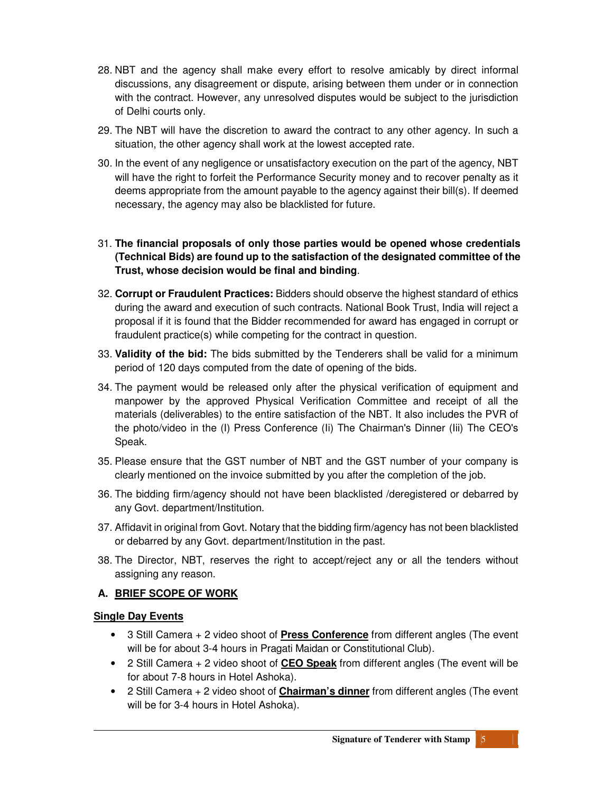- 28. NBT and the agency shall make every effort to resolve amicably by direct informal discussions, any disagreement or dispute, arising between them under or in connection with the contract. However, any unresolved disputes would be subject to the jurisdiction of Delhi courts only.
- 29. The NBT will have the discretion to award the contract to any other agency. In such a situation, the other agency shall work at the lowest accepted rate.
- 30. In the event of any negligence or unsatisfactory execution on the part of the agency, NBT will have the right to forfeit the Performance Security money and to recover penalty as it deems appropriate from the amount payable to the agency against their bill(s). If deemed necessary, the agency may also be blacklisted for future.

31. **The financial proposals of only those parties would be opened whose credentials (Technical Bids) are found up to the satisfaction of the designated committee of the Trust, whose decision would be final and binding**.

- 32. **Corrupt or Fraudulent Practices:** Bidders should observe the highest standard of ethics during the award and execution of such contracts. National Book Trust, India will reject a proposal if it is found that the Bidder recommended for award has engaged in corrupt or fraudulent practice(s) while competing for the contract in question.
- 33. **Validity of the bid:** The bids submitted by the Tenderers shall be valid for a minimum period of 120 days computed from the date of opening of the bids.
- 34. The payment would be released only after the physical verification of equipment and manpower by the approved Physical Verification Committee and receipt of all the materials (deliverables) to the entire satisfaction of the NBT. It also includes the PVR of the photo/video in the (I) Press Conference (Ii) The Chairman's Dinner (Iii) The CEO's Speak.
- 35. Please ensure that the GST number of NBT and the GST number of your company is clearly mentioned on the invoice submitted by you after the completion of the job.
- 36. The bidding firm/agency should not have been blacklisted /deregistered or debarred by any Govt. department/Institution.
- 37. Affidavit in original from Govt. Notary that the bidding firm/agency has not been blacklisted or debarred by any Govt. department/Institution in the past.
- 38. The Director, NBT, reserves the right to accept/reject any or all the tenders without assigning any reason.

## **A. BRIEF SCOPE OF WORK**

## **Single Day Events**

- 3 Still Camera + 2 video shoot of **Press Conference** from different angles (The event will be for about 3-4 hours in Pragati Maidan or Constitutional Club).
- 2 Still Camera + 2 video shoot of **CEO Speak** from different angles (The event will be for about 7-8 hours in Hotel Ashoka).
- 2 Still Camera + 2 video shoot of **Chairman's dinner** from different angles (The event will be for 3-4 hours in Hotel Ashoka).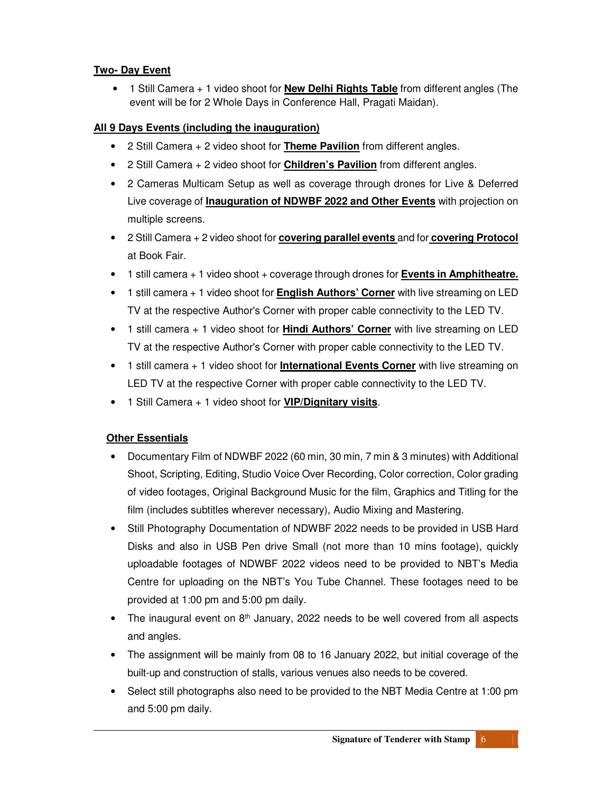## **Two- Day Event**

• 1 Still Camera + 1 video shoot for **New Delhi Rights Table** from different angles (The event will be for 2 Whole Days in Conference Hall, Pragati Maidan).

## **All 9 Days Events (including the inauguration)**

- 2 Still Camera + 2 video shoot for **Theme Pavilion** from different angles.
- 2 Still Camera + 2 video shoot for **Children's Pavilion** from different angles.
- 2 Cameras Multicam Setup as well as coverage through drones for Live & Deferred Live coverage of **Inauguration of NDWBF 2022 and Other Events** with projection on multiple screens.
- 2 Still Camera + 2 video shoot for **covering parallel events** and for **covering Protocol** at Book Fair.
- 1 still camera + 1 video shoot + coverage through drones for **Events in Amphitheatre.**
- 1 still camera + 1 video shoot for **English Authors' Corner** with live streaming on LED TV at the respective Author's Corner with proper cable connectivity to the LED TV.
- 1 still camera + 1 video shoot for **Hindi Authors' Corner** with live streaming on LED TV at the respective Author's Corner with proper cable connectivity to the LED TV.
- 1 still camera + 1 video shoot for **International Events Corner** with live streaming on LED TV at the respective Corner with proper cable connectivity to the LED TV.
- 1 Still Camera + 1 video shoot for **VIP/Dignitary visits**.

## **Other Essentials**

- Documentary Film of NDWBF 2022 (60 min, 30 min, 7 min & 3 minutes) with Additional Shoot, Scripting, Editing, Studio Voice Over Recording, Color correction, Color grading of video footages, Original Background Music for the film, Graphics and Titling for the film (includes subtitles wherever necessary), Audio Mixing and Mastering.
- Still Photography Documentation of NDWBF 2022 needs to be provided in USB Hard Disks and also in USB Pen drive Small (not more than 10 mins footage), quickly uploadable footages of NDWBF 2022 videos need to be provided to NBT's Media Centre for uploading on the NBT's You Tube Channel. These footages need to be provided at 1:00 pm and 5:00 pm daily.
- The inaugural event on  $8<sup>th</sup>$  January, 2022 needs to be well covered from all aspects and angles.
- The assignment will be mainly from 08 to 16 January 2022, but initial coverage of the built-up and construction of stalls, various venues also needs to be covered.
- Select still photographs also need to be provided to the NBT Media Centre at 1:00 pm and 5:00 pm daily.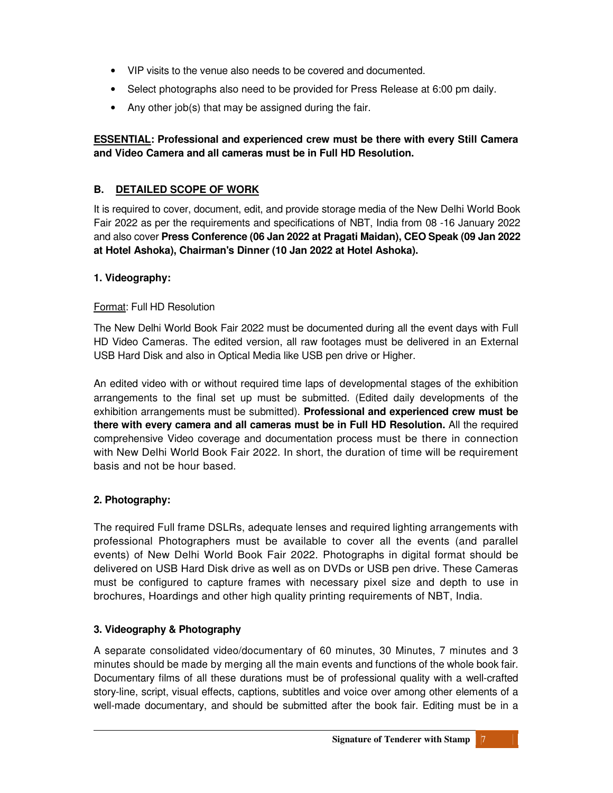- VIP visits to the venue also needs to be covered and documented.
- Select photographs also need to be provided for Press Release at 6:00 pm daily.
- Any other job(s) that may be assigned during the fair.

## **ESSENTIAL: Professional and experienced crew must be there with every Still Camera and Video Camera and all cameras must be in Full HD Resolution.**

# **B. DETAILED SCOPE OF WORK**

It is required to cover, document, edit, and provide storage media of the New Delhi World Book Fair 2022 as per the requirements and specifications of NBT, India from 08 -16 January 2022 and also cover **Press Conference (06 Jan 2022 at Pragati Maidan), CEO Speak (09 Jan 2022 at Hotel Ashoka), Chairman's Dinner (10 Jan 2022 at Hotel Ashoka).** 

## **1. Videography:**

## Format: Full HD Resolution

The New Delhi World Book Fair 2022 must be documented during all the event days with Full HD Video Cameras. The edited version, all raw footages must be delivered in an External USB Hard Disk and also in Optical Media like USB pen drive or Higher.

An edited video with or without required time laps of developmental stages of the exhibition arrangements to the final set up must be submitted. (Edited daily developments of the exhibition arrangements must be submitted). **Professional and experienced crew must be there with every camera and all cameras must be in Full HD Resolution.** All the required comprehensive Video coverage and documentation process must be there in connection with New Delhi World Book Fair 2022. In short, the duration of time will be requirement basis and not be hour based.

# **2. Photography:**

The required Full frame DSLRs, adequate lenses and required lighting arrangements with professional Photographers must be available to cover all the events (and parallel events) of New Delhi World Book Fair 2022. Photographs in digital format should be delivered on USB Hard Disk drive as well as on DVDs or USB pen drive. These Cameras must be configured to capture frames with necessary pixel size and depth to use in brochures, Hoardings and other high quality printing requirements of NBT, India.

# **3. Videography & Photography**

A separate consolidated video/documentary of 60 minutes, 30 Minutes, 7 minutes and 3 minutes should be made by merging all the main events and functions of the whole book fair. Documentary films of all these durations must be of professional quality with a well-crafted story-line, script, visual effects, captions, subtitles and voice over among other elements of a well-made documentary, and should be submitted after the book fair. Editing must be in a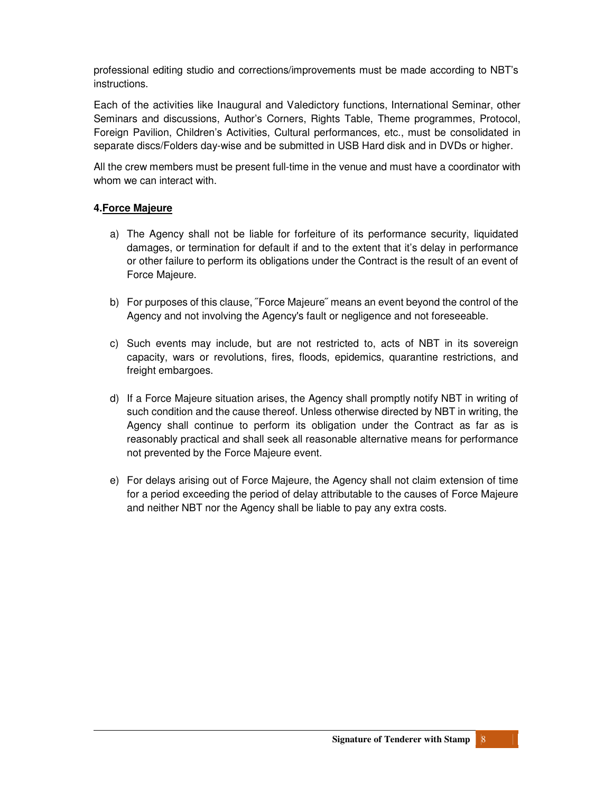professional editing studio and corrections/improvements must be made according to NBT's instructions.

Each of the activities like Inaugural and Valedictory functions, International Seminar, other Seminars and discussions, Author's Corners, Rights Table, Theme programmes, Protocol, Foreign Pavilion, Children's Activities, Cultural performances, etc., must be consolidated in separate discs/Folders day-wise and be submitted in USB Hard disk and in DVDs or higher.

All the crew members must be present full-time in the venue and must have a coordinator with whom we can interact with.

### **4.Force Majeure**

- a) The Agency shall not be liable for forfeiture of its performance security, liquidated damages, or termination for default if and to the extent that it's delay in performance or other failure to perform its obligations under the Contract is the result of an event of Force Majeure.
- b) For purposes of this clause, ˝Force Majeure˝ means an event beyond the control of the Agency and not involving the Agency's fault or negligence and not foreseeable.
- c) Such events may include, but are not restricted to, acts of NBT in its sovereign capacity, wars or revolutions, fires, floods, epidemics, quarantine restrictions, and freight embargoes.
- d) If a Force Majeure situation arises, the Agency shall promptly notify NBT in writing of such condition and the cause thereof. Unless otherwise directed by NBT in writing, the Agency shall continue to perform its obligation under the Contract as far as is reasonably practical and shall seek all reasonable alternative means for performance not prevented by the Force Majeure event.
- e) For delays arising out of Force Majeure, the Agency shall not claim extension of time for a period exceeding the period of delay attributable to the causes of Force Majeure and neither NBT nor the Agency shall be liable to pay any extra costs.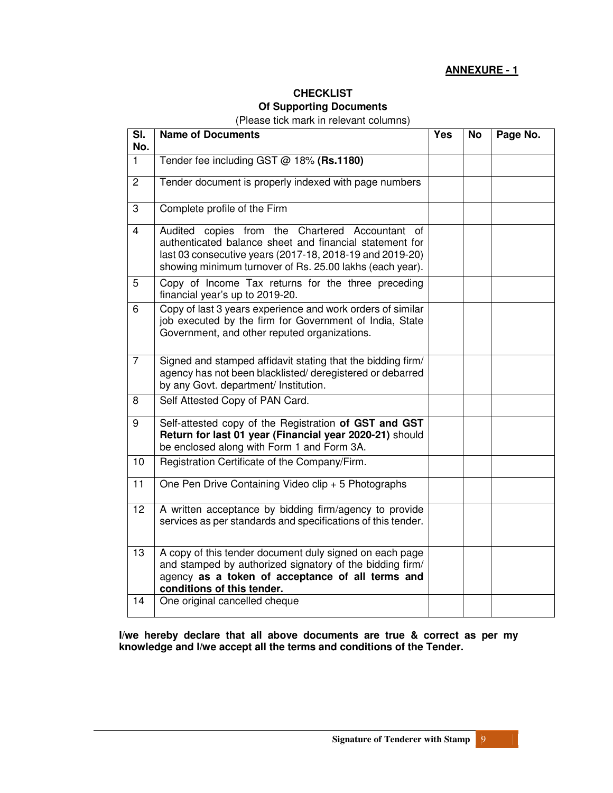### **ANNEXURE - 1**

# **CHECKLIST Of Supporting Documents**

(Please tick mark in relevant columns)

| SI.<br>No.      | <b>Name of Documents</b>                                                                                                                                                                                                           | <b>Yes</b> | <b>No</b> | Page No. |
|-----------------|------------------------------------------------------------------------------------------------------------------------------------------------------------------------------------------------------------------------------------|------------|-----------|----------|
| $\mathbf{1}$    | Tender fee including GST @ 18% (Rs.1180)                                                                                                                                                                                           |            |           |          |
| $\overline{2}$  | Tender document is properly indexed with page numbers                                                                                                                                                                              |            |           |          |
| 3               | Complete profile of the Firm                                                                                                                                                                                                       |            |           |          |
| $\overline{4}$  | Audited copies from the Chartered Accountant of<br>authenticated balance sheet and financial statement for<br>last 03 consecutive years (2017-18, 2018-19 and 2019-20)<br>showing minimum turnover of Rs. 25.00 lakhs (each year). |            |           |          |
| 5               | Copy of Income Tax returns for the three preceding<br>financial year's up to 2019-20.                                                                                                                                              |            |           |          |
| 6               | Copy of last 3 years experience and work orders of similar<br>job executed by the firm for Government of India, State<br>Government, and other reputed organizations.                                                              |            |           |          |
| $\overline{7}$  | Signed and stamped affidavit stating that the bidding firm/<br>agency has not been blacklisted/deregistered or debarred<br>by any Govt. department/ Institution.                                                                   |            |           |          |
| 8               | Self Attested Copy of PAN Card.                                                                                                                                                                                                    |            |           |          |
| 9               | Self-attested copy of the Registration of GST and GST<br>Return for last 01 year (Financial year 2020-21) should<br>be enclosed along with Form 1 and Form 3A.                                                                     |            |           |          |
| 10              | Registration Certificate of the Company/Firm.                                                                                                                                                                                      |            |           |          |
| 11              | One Pen Drive Containing Video clip + 5 Photographs                                                                                                                                                                                |            |           |          |
| $\overline{12}$ | A written acceptance by bidding firm/agency to provide<br>services as per standards and specifications of this tender.                                                                                                             |            |           |          |
| 13              | A copy of this tender document duly signed on each page<br>and stamped by authorized signatory of the bidding firm/<br>agency as a token of acceptance of all terms and<br>conditions of this tender.                              |            |           |          |
| 14              | One original cancelled cheque                                                                                                                                                                                                      |            |           |          |

**I/we hereby declare that all above documents are true & correct as per my knowledge and I/we accept all the terms and conditions of the Tender.**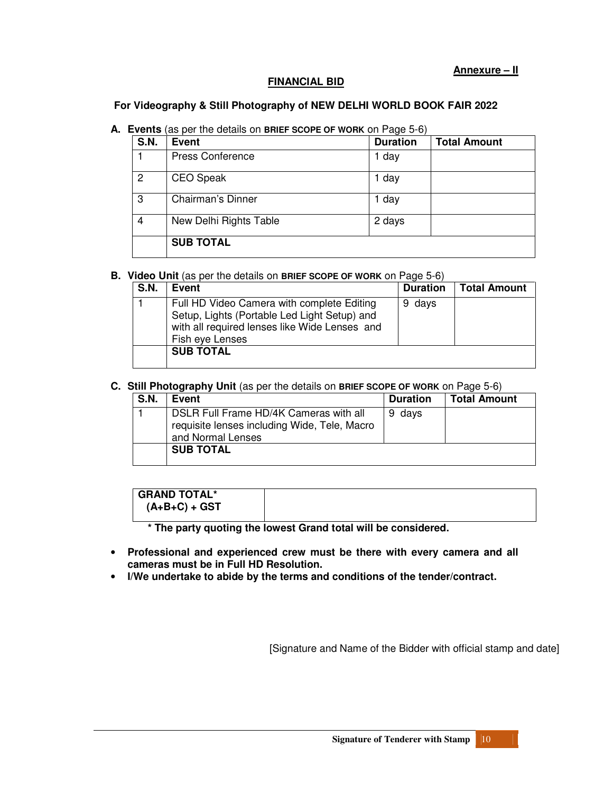#### **FINANCIAL BID**

#### **For Videography & Still Photography of NEW DELHI WORLD BOOK FAIR 2022**

#### **A. Events** (as per the details on **BRIEF SCOPE OF WORK** on Page 5-6)

| <b>S.N.</b>    | Event                   | <b>Duration</b> | <b>Total Amount</b> |
|----------------|-------------------------|-----------------|---------------------|
|                | <b>Press Conference</b> | 1 day           |                     |
| $\overline{2}$ | <b>CEO Speak</b>        | 1 day           |                     |
| -3             | Chairman's Dinner       | 1 day           |                     |
| $\overline{4}$ | New Delhi Rights Table  | 2 days          |                     |
|                | <b>SUB TOTAL</b>        |                 |                     |

#### **B. Video Unit** (as per the details on **BRIEF SCOPE OF WORK** on Page 5-6)

| <b>S.N.</b> | Event                                                                                                                                                          | <b>Duration</b> | <b>Total Amount</b> |
|-------------|----------------------------------------------------------------------------------------------------------------------------------------------------------------|-----------------|---------------------|
|             | Full HD Video Camera with complete Editing<br>Setup, Lights (Portable Led Light Setup) and<br>with all required lenses like Wide Lenses and<br>Fish eye Lenses | 9 days          |                     |
|             | <b>SUB TOTAL</b>                                                                                                                                               |                 |                     |

#### **C. Still Photography Unit** (as per the details on **BRIEF SCOPE OF WORK** on Page 5-6)

| <b>S.N.</b> | Event                                                                                                       | <b>Duration</b> | <b>Total Amount</b> |
|-------------|-------------------------------------------------------------------------------------------------------------|-----------------|---------------------|
|             | DSLR Full Frame HD/4K Cameras with all<br>requisite lenses including Wide, Tele, Macro<br>and Normal Lenses | 9 days          |                     |
|             | <b>SUB TOTAL</b>                                                                                            |                 |                     |

 **\* The party quoting the lowest Grand total will be considered.** 

- **Professional and experienced crew must be there with every camera and all cameras must be in Full HD Resolution.**
- **I/We undertake to abide by the terms and conditions of the tender/contract.**

[Signature and Name of the Bidder with official stamp and date]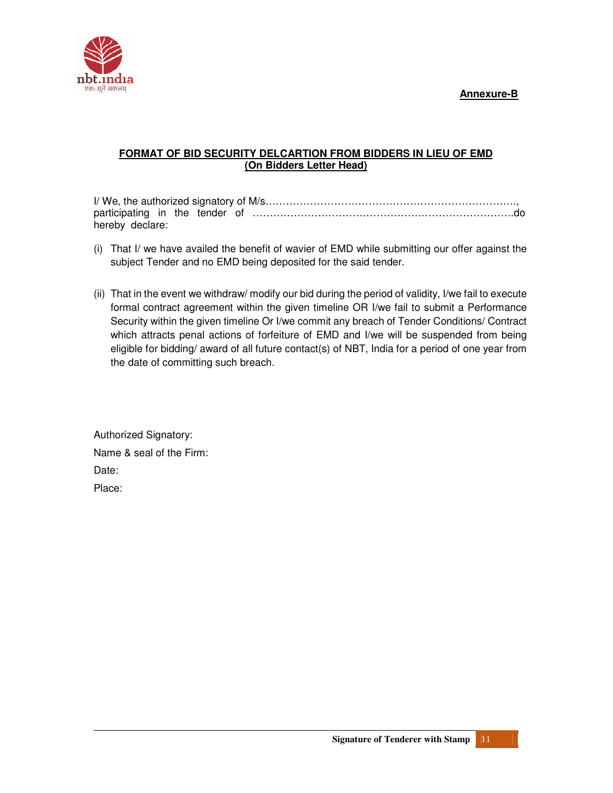### **Annexure-B**



## **FORMAT OF BID SECURITY DELCARTION FROM BIDDERS IN LIEU OF EMD (On Bidders Letter Head)**

I/ We, the authorized signatory of M/s………………………………………………………………., participating in the tender of ………………………………………………………………….do hereby declare:

- (i) That I/ we have availed the benefit of wavier of EMD while submitting our offer against the subject Tender and no EMD being deposited for the said tender.
- (ii) That in the event we withdraw/ modify our bid during the period of validity, I/we fail to execute formal contract agreement within the given timeline OR I/we fail to submit a Performance Security within the given timeline Or I/we commit any breach of Tender Conditions/ Contract which attracts penal actions of forfeiture of EMD and I/we will be suspended from being eligible for bidding/ award of all future contact(s) of NBT, India for a period of one year from the date of committing such breach.

Authorized Signatory: Name & seal of the Firm: Date: Place: